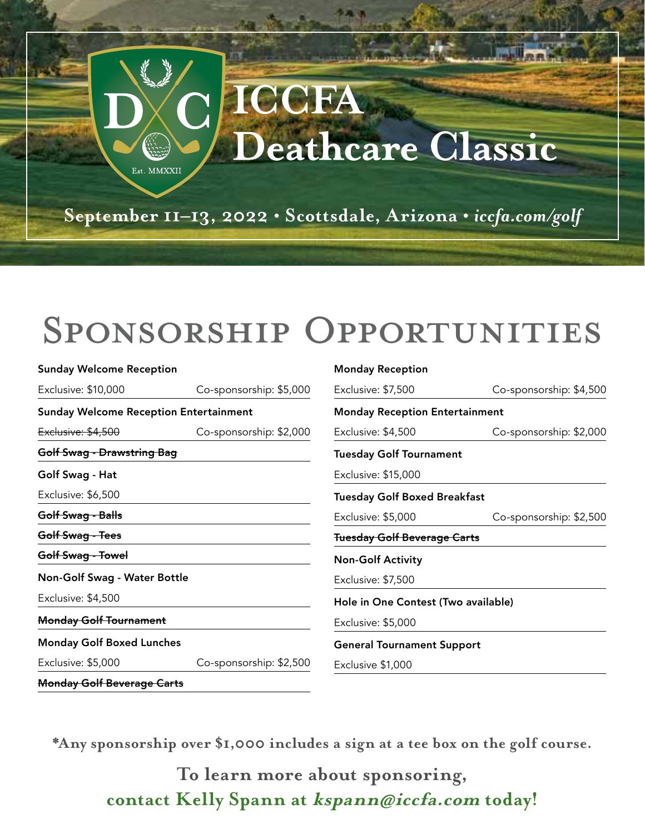

## Sponsorship Opportunities

| <b>Sunday Welcome Reception</b>               |                         | <b>Monday Reception</b>               |                         |
|-----------------------------------------------|-------------------------|---------------------------------------|-------------------------|
| Exclusive: \$10,000                           | Co-sponsorship: \$5,000 | Exclusive: \$7,500                    | Co-sponsorship: \$4,500 |
| <b>Sunday Welcome Reception Entertainment</b> |                         | <b>Monday Reception Entertainment</b> |                         |
| Exclusive: \$4,500                            | Co-sponsorship: \$2,000 | Exclusive: \$4,500                    | Co-sponsorship: \$2,000 |
| <b>Golf Swag - Drawstring Bag</b>             |                         | <b>Tuesday Golf Tournament</b>        |                         |
| Golf Swag - Hat                               |                         | Exclusive: \$15,000                   |                         |
| Exclusive: \$6,500                            |                         | <b>Tuesday Golf Boxed Breakfast</b>   |                         |
| Golf Swag - Balls                             |                         | Exclusive: \$5,000                    | Co-sponsorship: \$2,500 |
| Golf Swag - Tees                              |                         | <b>Tuesday Golf Beverage Carts</b>    |                         |
| Golf Swag - Towel                             |                         | <b>Non-Golf Activity</b>              |                         |
| Non-Golf Swag - Water Bottle                  |                         | Exclusive: \$7,500                    |                         |
| Exclusive: \$4,500                            |                         | Hole in One Contest (Two available)   |                         |
| <b>Monday Golf Tournament</b>                 |                         | Exclusive: \$5,000                    |                         |
| <b>Monday Golf Boxed Lunches</b>              |                         | <b>General Tournament Support</b>     |                         |
| Exclusive: \$5,000                            | Co-sponsorship: \$2,500 | Exclusive \$1,000                     |                         |
| <b>Monday Golf Beverage Carts</b>             |                         |                                       |                         |

**\*Any sponsorship over \$1,000 includes a sign at a tee box on the golf course.**

**To learn more about sponsoring, contact Kelly Spann at kspann@iccfa.com today!**